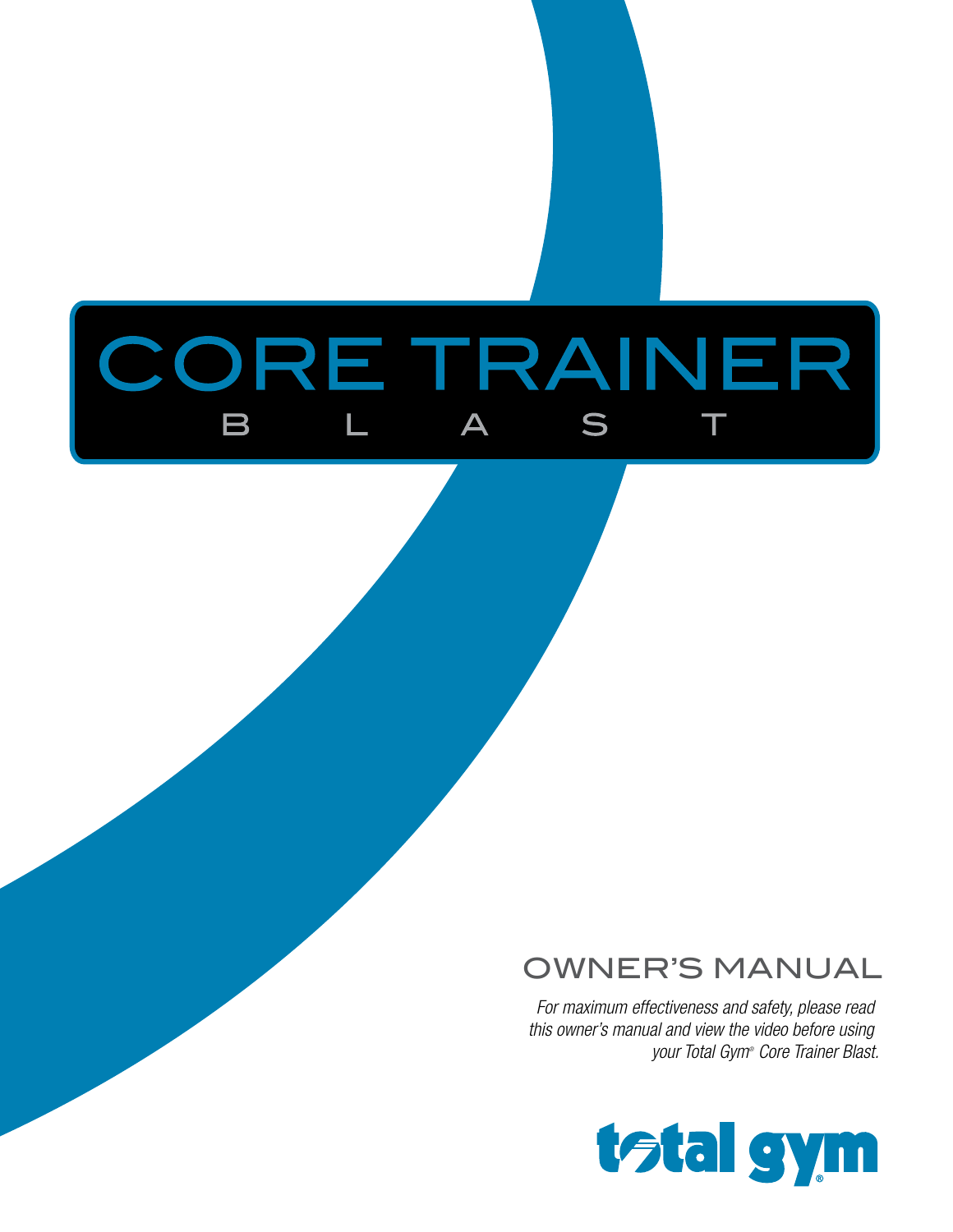#### CORE TRAINER S  $\blacktriangle$  $\overline{\phantom{a}}$  $\bm{\mathsf E}$ T

### OWNER'S MANUAL

*For maximum effectiveness and safety, please read this owner's manual and view the video before using your Total Gym® Core Trainer Blast.*

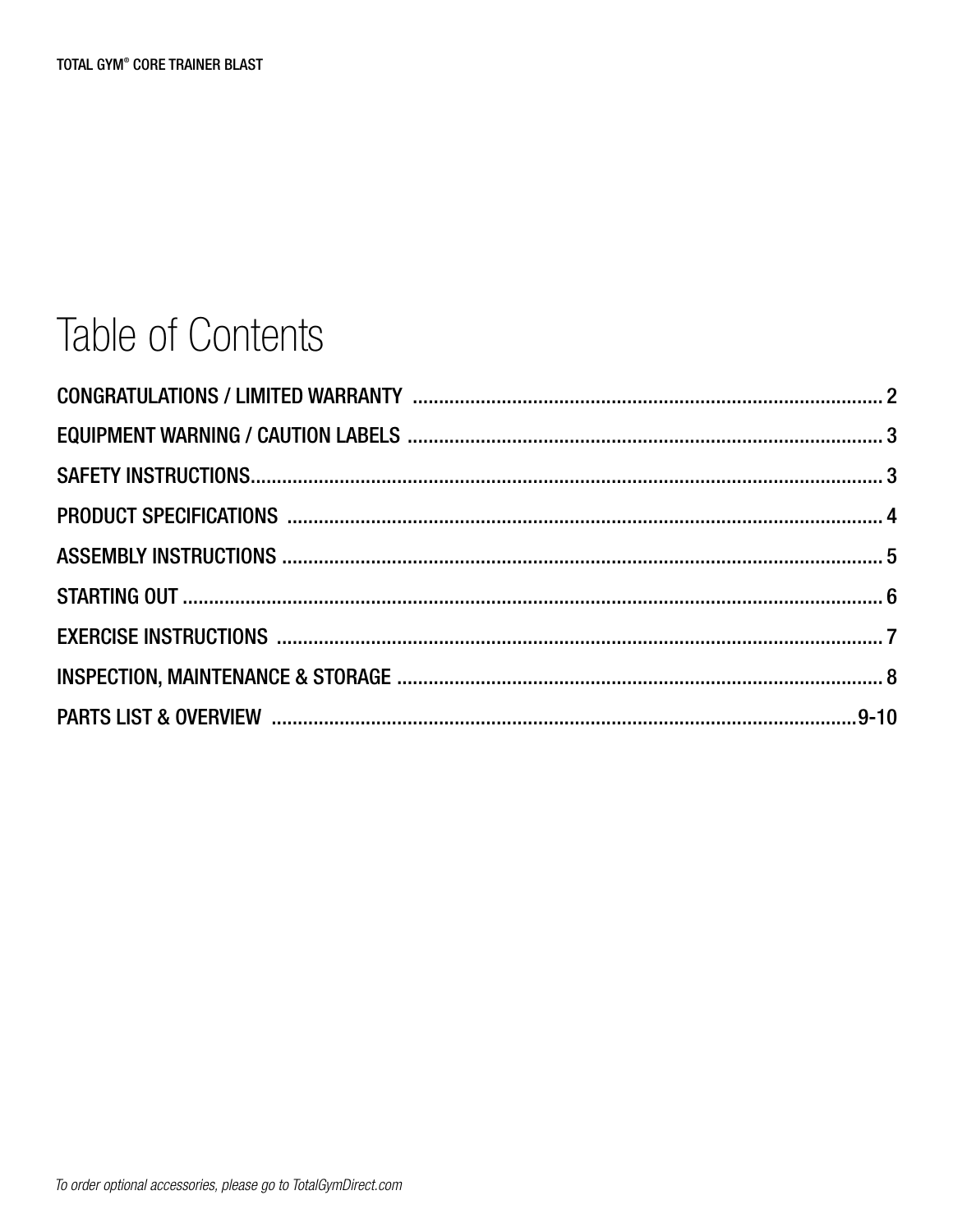# Table of Contents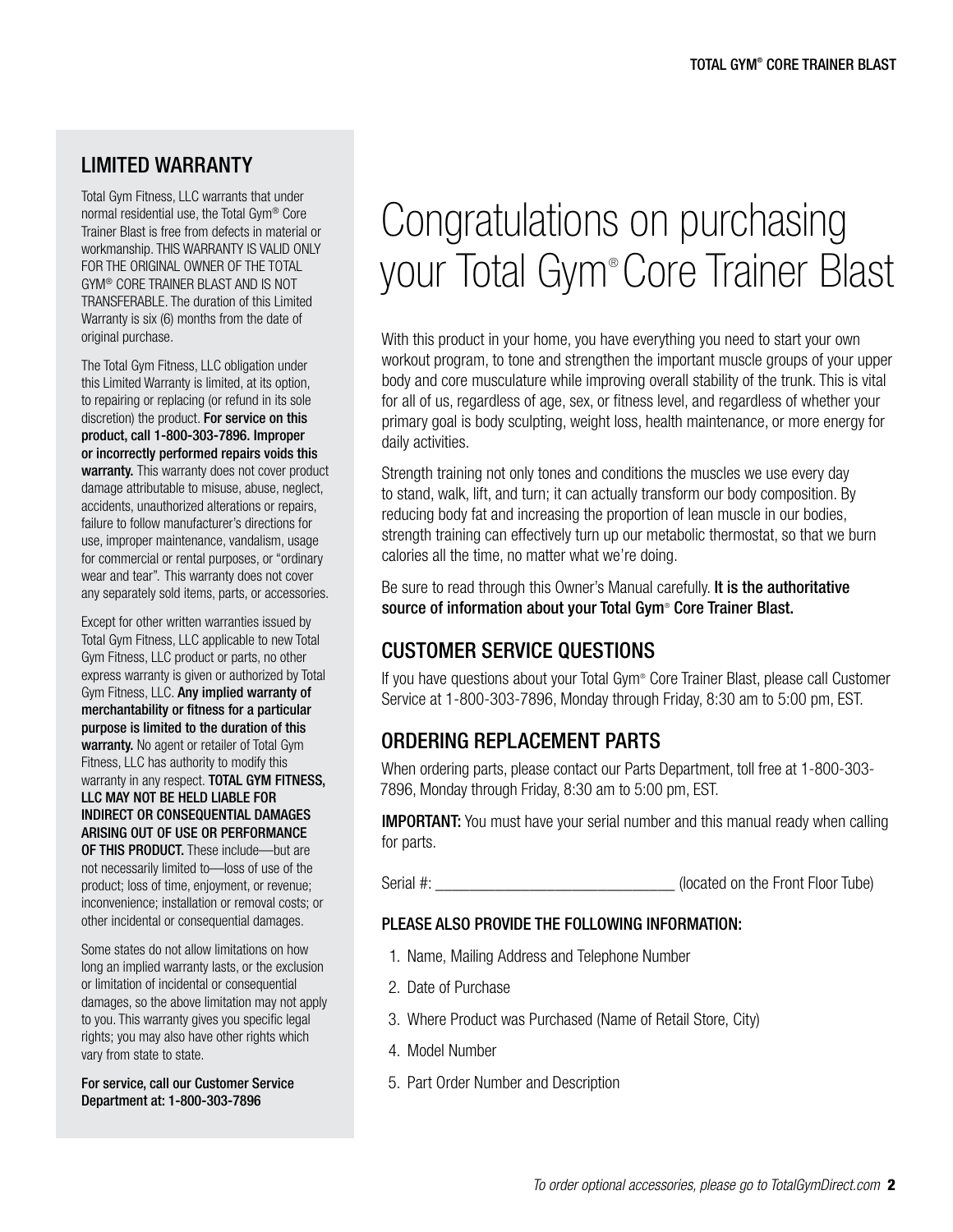#### LIMITED WARRANTY

Total Gym Fitness, LLC warrants that under normal residential use, the Total Gym® Core Trainer Blast is free from defects in material or workmanship. THIS WARRANTY IS VALID ONLY FOR THE ORIGINAL OWNER OF THE TOTAL GYM® CORE TRAINER BLAST AND IS NOT TRANSFERABLE. The duration of this Limited Warranty is six (6) months from the date of original purchase.

The Total Gym Fitness, LLC obligation under this Limited Warranty is limited, at its option, to repairing or replacing (or refund in its sole discretion) the product. For service on this product, call 1-800-303-7896. Improper or incorrectly performed repairs voids this warranty. This warranty does not cover product damage attributable to misuse, abuse, neglect, accidents, unauthorized alterations or repairs, failure to follow manufacturer's directions for use, improper maintenance, vandalism, usage for commercial or rental purposes, or "ordinary wear and tear". This warranty does not cover any separately sold items, parts, or accessories.

Except for other written warranties issued by Total Gym Fitness, LLC applicable to new Total Gym Fitness, LLC product or parts, no other express warranty is given or authorized by Total Gym Fitness, LLC. Any implied warranty of merchantability or fitness for a particular purpose is limited to the duration of this warranty. No agent or retailer of Total Gym Fitness, LLC has authority to modify this warranty in any respect. TOTAL GYM FITNESS, LLC MAY NOT BE HELD LIABLE FOR INDIRECT OR CONSEQUENTIAL DAMAGES ARISING OUT OF USE OR PERFORMANCE OF THIS PRODUCT. These include—but are not necessarily limited to—loss of use of the product; loss of time, enjoyment, or revenue; inconvenience; installation or removal costs; or other incidental or consequential damages.

Some states do not allow limitations on how long an implied warranty lasts, or the exclusion or limitation of incidental or consequential damages, so the above limitation may not apply to you. This warranty gives you specific legal rights; you may also have other rights which vary from state to state.

For service, call our Customer Service Department at: 1-800-303-7896

# Congratulations on purchasing your Total Gym® Core Trainer Blast

With this product in your home, you have everything you need to start your own workout program, to tone and strengthen the important muscle groups of your upper body and core musculature while improving overall stability of the trunk. This is vital for all of us, regardless of age, sex, or fitness level, and regardless of whether your primary goal is body sculpting, weight loss, health maintenance, or more energy for daily activities.

Strength training not only tones and conditions the muscles we use every day to stand, walk, lift, and turn; it can actually transform our body composition. By reducing body fat and increasing the proportion of lean muscle in our bodies, strength training can effectively turn up our metabolic thermostat, so that we burn calories all the time, no matter what we're doing.

Be sure to read through this Owner's Manual carefully. It is the authoritative source of information about your Total Gym® Core Trainer Blast.

#### CUSTOMER SERVICE QUESTIONS

If you have questions about your Total Gym® Core Trainer Blast, please call Customer Service at 1-800-303-7896, Monday through Friday, 8:30 am to 5:00 pm, EST.

#### ORDERING REPLACEMENT PARTS

When ordering parts, please contact our Parts Department, toll free at 1-800-303- 7896, Monday through Friday, 8:30 am to 5:00 pm, EST.

**IMPORTANT:** You must have your serial number and this manual ready when calling for parts.

Serial #:  $\blacksquare$ 

#### PLEASE ALSO PROVIDE THE FOLLOWING INFORMATION:

- 1. Name, Mailing Address and Telephone Number
- 2. Date of Purchase
- 3. Where Product was Purchased (Name of Retail Store, City)
- 4. Model Number
- 5. Part Order Number and Description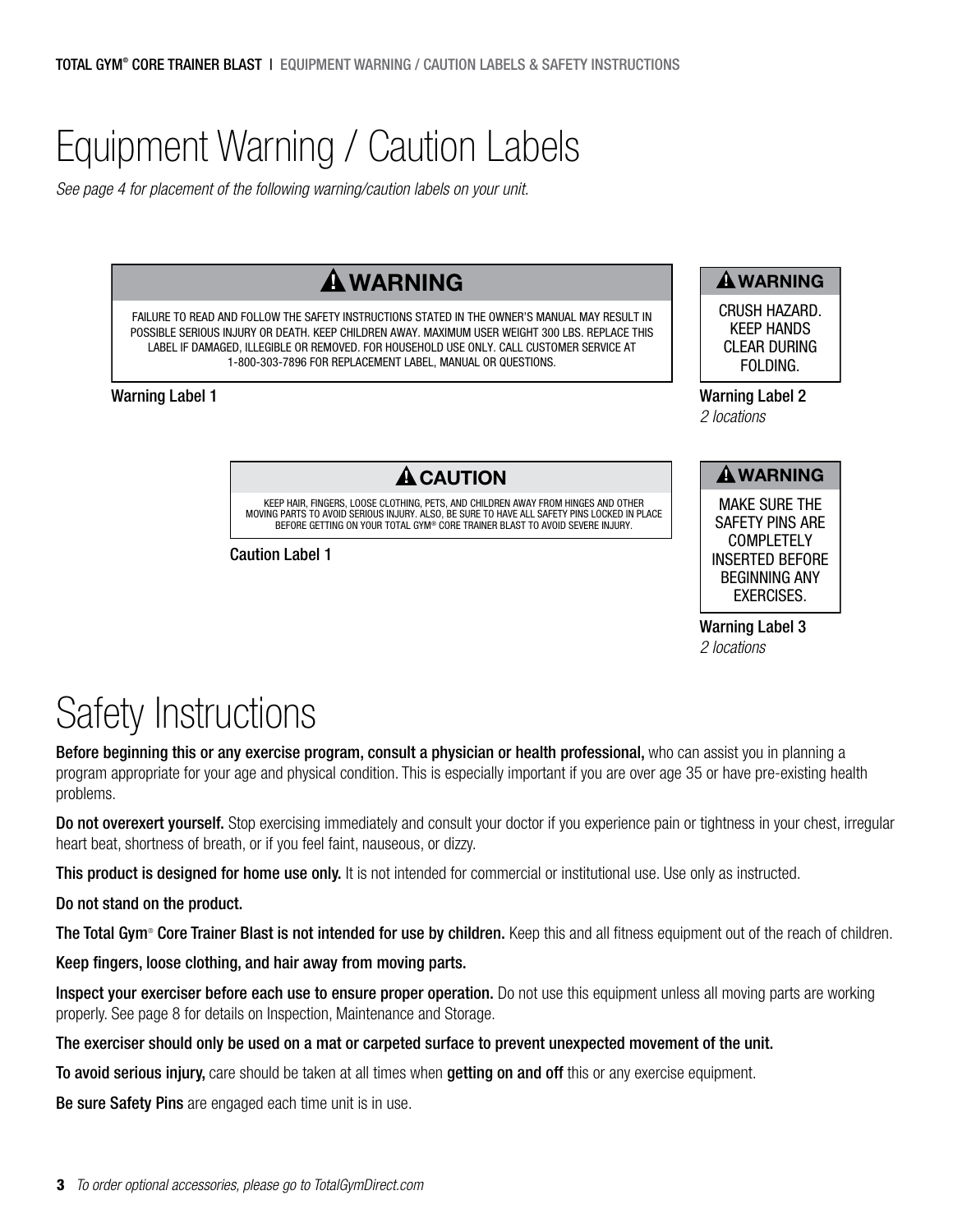# Equipment Warning / Caution Labels

*See page 4 for placement of the following warning/caution labels on your unit.*



Caution Label 1

### INSERTED BEFORE BEGINNING ANY EXERCISES.

Warning Label 3 *2 locations*

# Safety Instructions

Before beginning this or any exercise program, consult a physician or health professional, who can assist you in planning a program appropriate for your age and physical condition. This is especially important if you are over age 35 or have pre-existing health problems.

Do not overexert yourself. Stop exercising immediately and consult your doctor if you experience pain or tightness in your chest, irregular heart beat, shortness of breath, or if you feel faint, nauseous, or dizzy.

This product is designed for home use only. It is not intended for commercial or institutional use. Use only as instructed.

Do not stand on the product.

The Total Gym<sup>®</sup> Core Trainer Blast is not intended for use by children. Keep this and all fitness equipment out of the reach of children.

Keep fingers, loose clothing, and hair away from moving parts.

Inspect your exerciser before each use to ensure proper operation. Do not use this equipment unless all moving parts are working properly. See page 8 for details on Inspection, Maintenance and Storage.

The exerciser should only be used on a mat or carpeted surface to prevent unexpected movement of the unit.

To avoid serious injury, care should be taken at all times when getting on and off this or any exercise equipment.

Be sure Safety Pins are engaged each time unit is in use.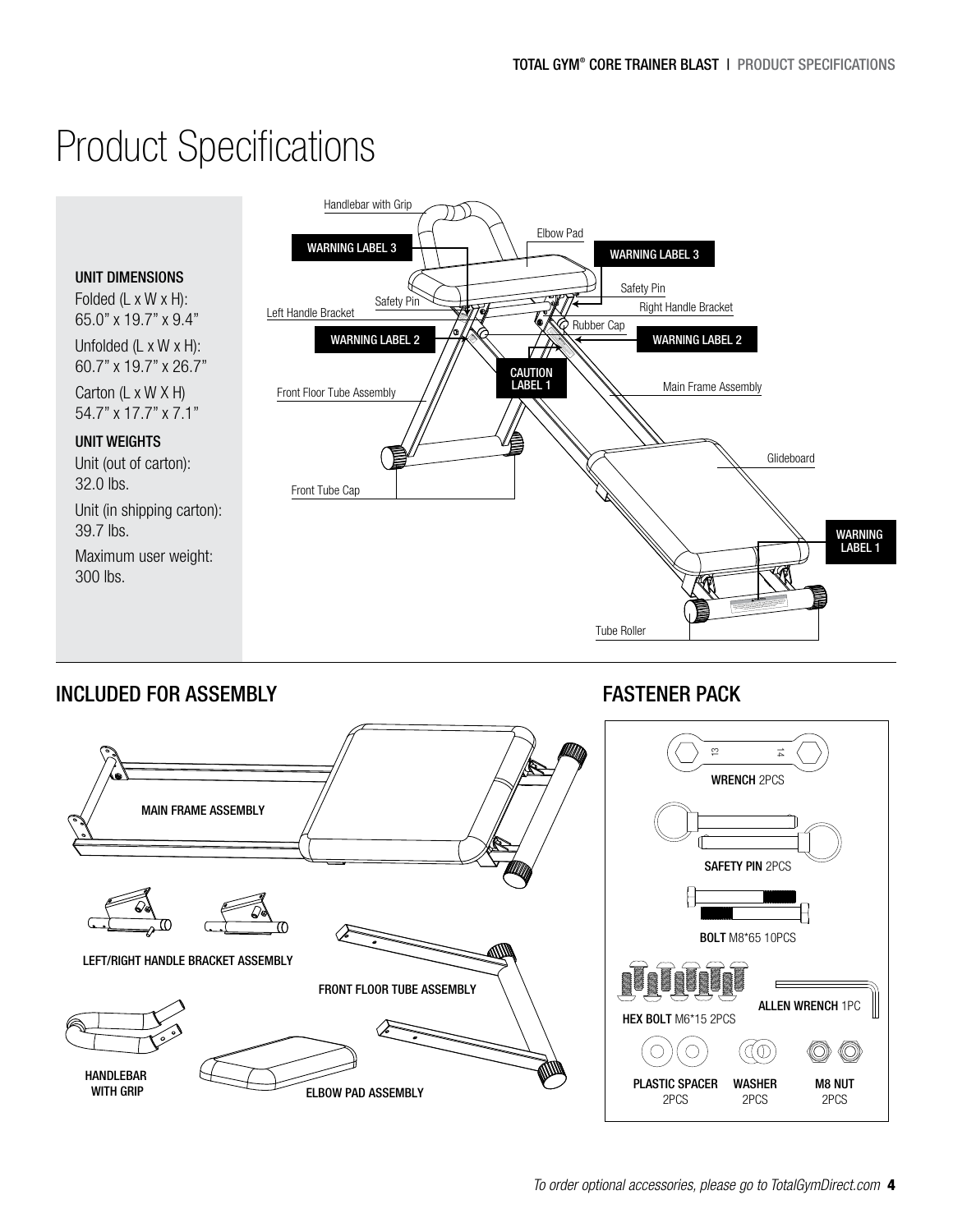# Product Specifications



### INCLUDED FOR ASSEMBLY

#### FASTENER PACK

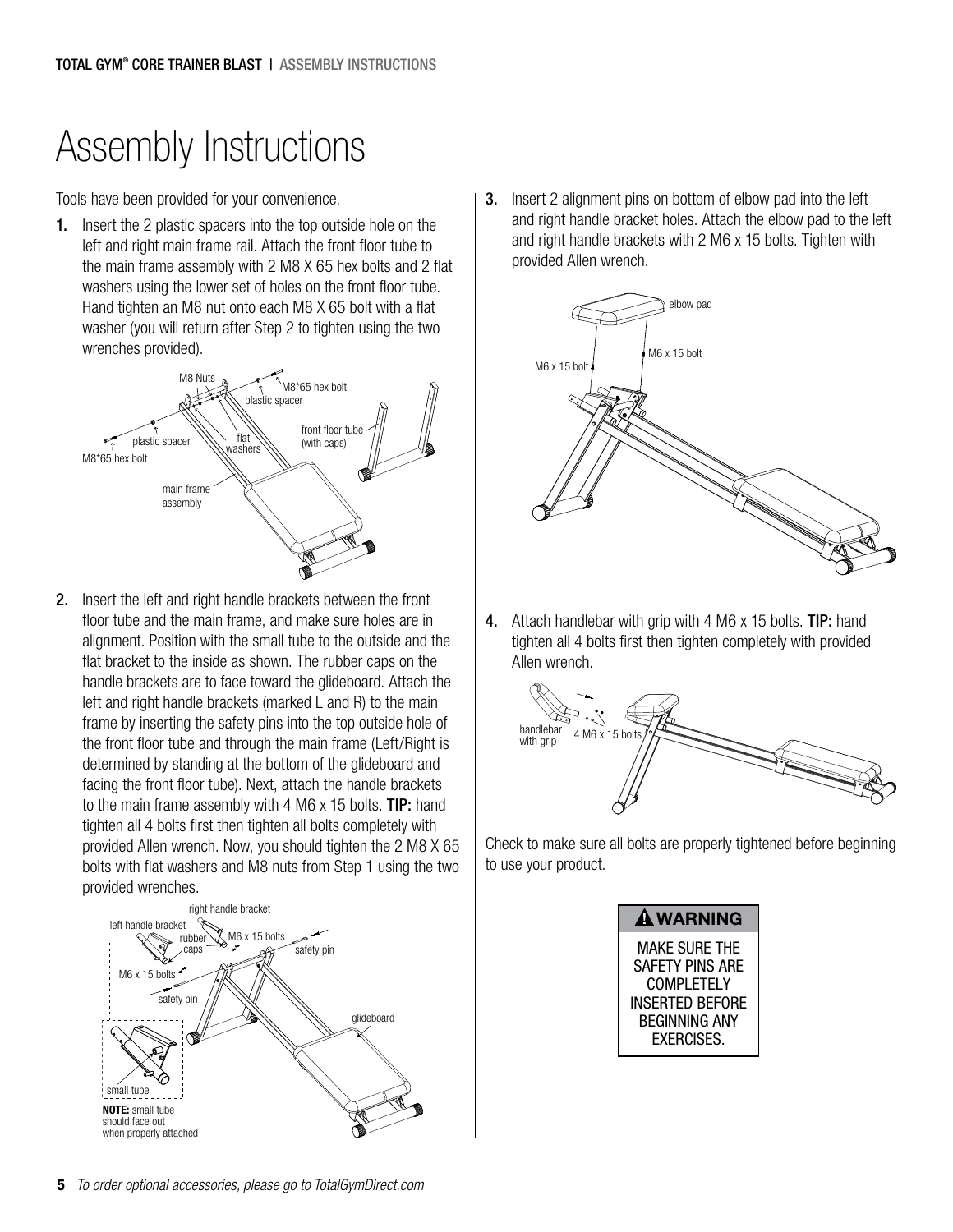### Assembly Instructions

Tools have been provided for your convenience.

1. Insert the 2 plastic spacers into the top outside hole on the left and right main frame rail. Attach the front floor tube to the main frame assembly with 2 M8 X 65 hex bolts and 2 flat washers using the lower set of holes on the front floor tube. Hand tighten an M8 nut onto each M8 X 65 bolt with a flat washer (you will return after Step 2 to tighten using the two wrenches provided).



2. Insert the left and right handle brackets between the front floor tube and the main frame, and make sure holes are in alignment. Position with the small tube to the outside and the flat bracket to the inside as shown. The rubber caps on the handle brackets are to face toward the glideboard. Attach the left and right handle brackets (marked L and R) to the main frame by inserting the safety pins into the top outside hole of the front floor tube and through the main frame (Left/Right is determined by standing at the bottom of the glideboard and facing the front floor tube). Next, attach the handle brackets to the main frame assembly with 4 M6 x 15 bolts. TIP: hand tighten all 4 bolts first then tighten all bolts completely with provided Allen wrench. Now, you should tighten the 2 M8 X 65 bolts with flat washers and M8 nuts from Step 1 using the two provided wrenches. LAGING THE HOLD HOUSE ORDER. NEXT, ALLAGHETIC INTERFERING DIAGRELS



3. Insert 2 alignment pins on bottom of elbow pad into the left and right handle bracket holes. Attach the elbow pad to the left and right handle brackets with 2 M6 x 15 bolts. Tighten with provided Allen wrench.



4. Attach handlebar with grip with 4 M6 x 15 bolts. TIP: hand tighten all 4 bolts first then tighten completely with provided Allen wrench.



Check to make sure all bolts are properly tightened before beginning to use your product.

|  | <b>AWARNING</b>                                |
|--|------------------------------------------------|
|  | <b>MAKE SURE THE</b><br><b>SAFETY PINS ARE</b> |
|  | <b>COMPLETELY</b><br><b>INSERTED BEFORE</b>    |
|  | <b>BEGINNING ANY</b><br><b>EXERCISES.</b>      |
|  |                                                |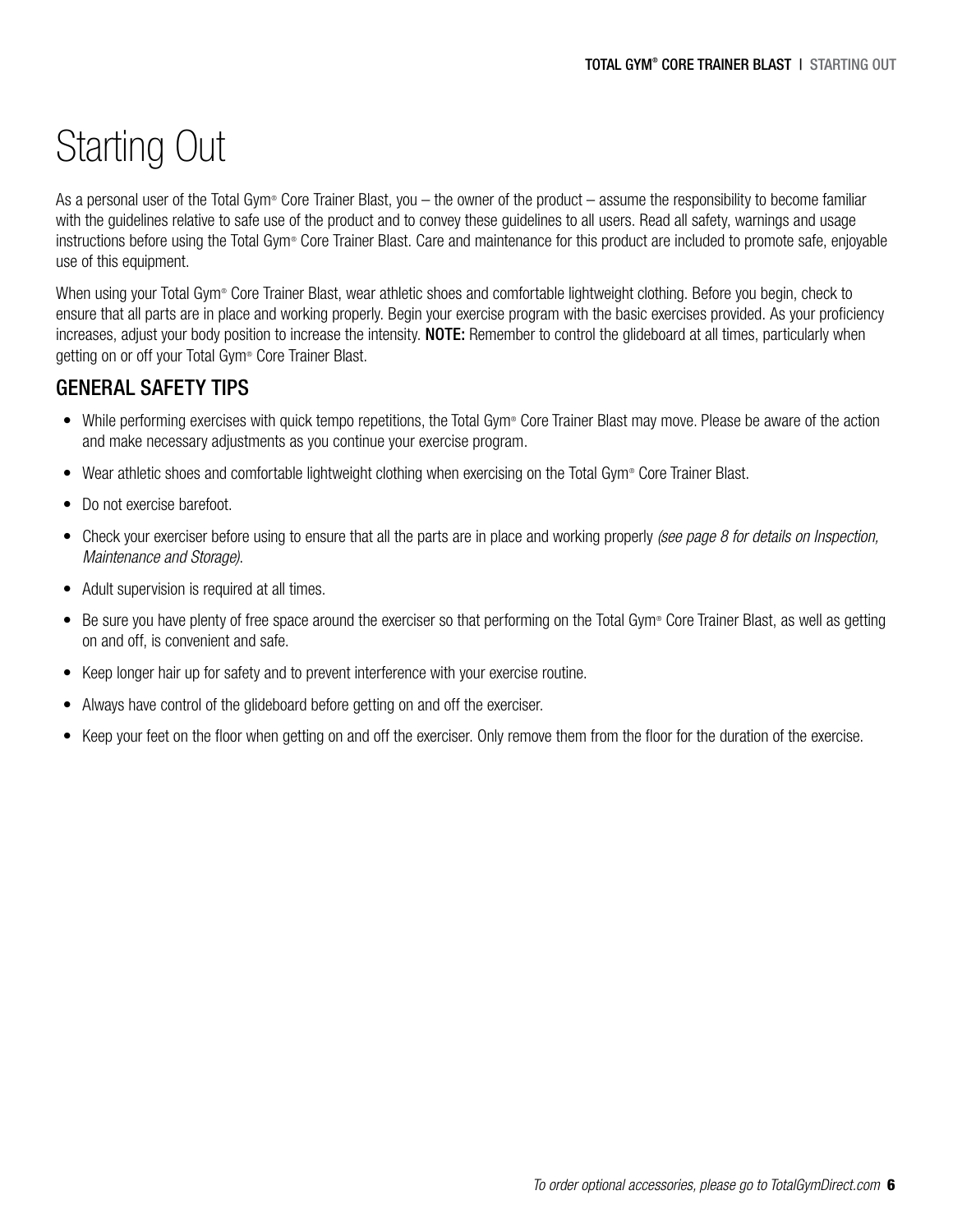# Starting Out

As a personal user of the Total Gym® Core Trainer Blast, you – the owner of the product – assume the responsibility to become familiar with the guidelines relative to safe use of the product and to convey these guidelines to all users. Read all safety, warnings and usage instructions before using the Total Gym® Core Trainer Blast. Care and maintenance for this product are included to promote safe, enjoyable use of this equipment.

When using your Total Gym® Core Trainer Blast, wear athletic shoes and comfortable lightweight clothing. Before you begin, check to ensure that all parts are in place and working properly. Begin your exercise program with the basic exercises provided. As your proficiency increases, adjust your body position to increase the intensity. NOTE: Remember to control the glideboard at all times, particularly when getting on or off your Total Gym® Core Trainer Blast.

### GENERAL SAFETY TIPS

- While performing exercises with quick tempo repetitions, the Total Gym® Core Trainer Blast may move. Please be aware of the action and make necessary adjustments as you continue your exercise program.
- Wear athletic shoes and comfortable lightweight clothing when exercising on the Total Gym® Core Trainer Blast.
- Do not exercise barefoot.
- Check your exerciser before using to ensure that all the parts are in place and working properly *(see page 8 for details on Inspection, Maintenance and Storage)*.
- Adult supervision is required at all times.
- Be sure you have plenty of free space around the exerciser so that performing on the Total Gym® Core Trainer Blast, as well as getting on and off, is convenient and safe.
- Keep longer hair up for safety and to prevent interference with your exercise routine.
- Always have control of the glideboard before getting on and off the exerciser.
- Keep your feet on the floor when getting on and off the exerciser. Only remove them from the floor for the duration of the exercise.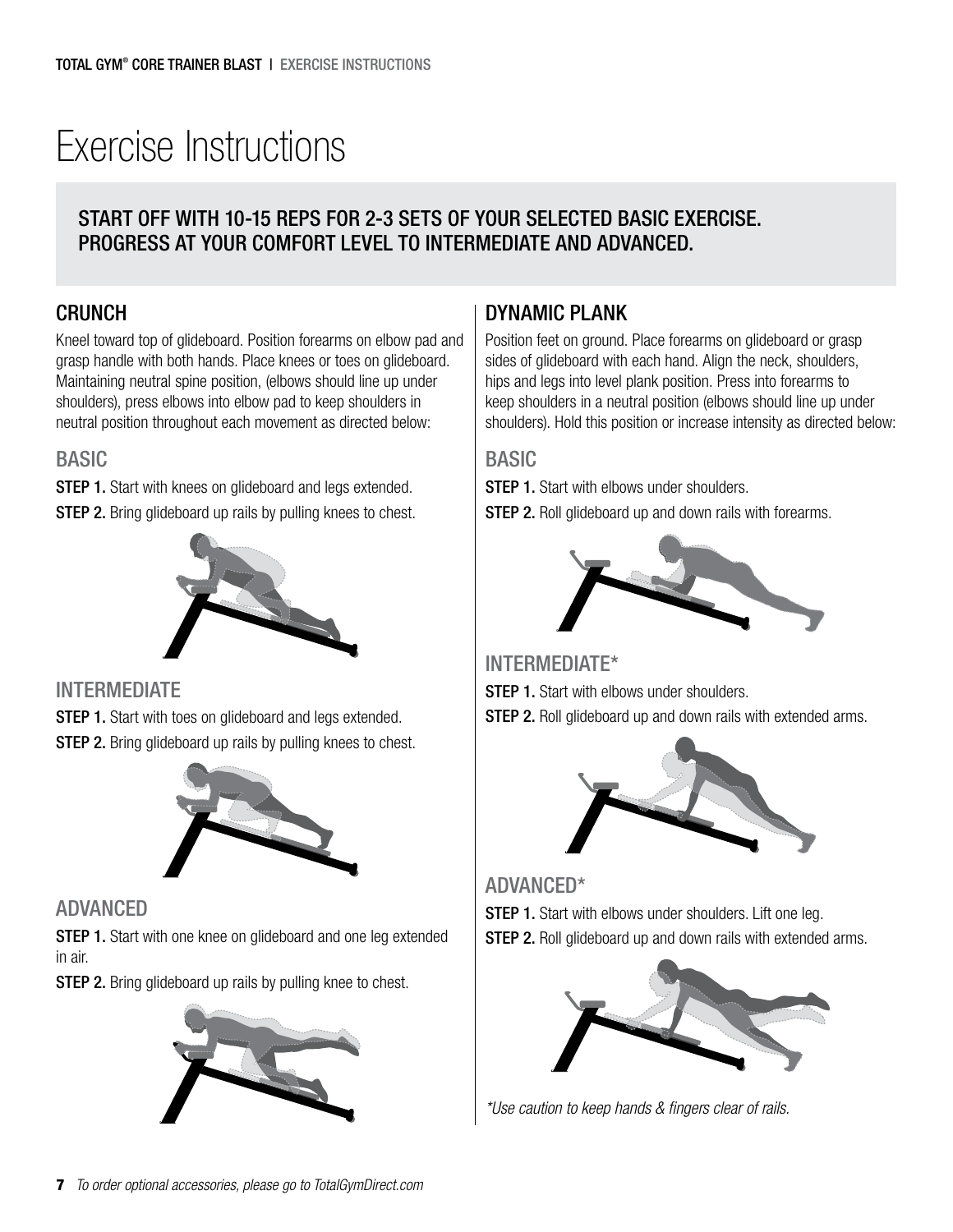# Exercise Instructions

#### START OFF WITH 10-15 REPS FOR 2-3 SETS OF YOUR SELECTED BASIC EXERCISE. PROGRESS AT YOUR COMFORT LEVEL TO INTERMEDIATE AND ADVANCED.

### **CRUNCH**

Kneel toward top of glideboard. Position forearms on elbow pad and grasp handle with both hands. Place knees or toes on glideboard. Maintaining neutral spine position, (elbows should line up under shoulders), press elbows into elbow pad to keep shoulders in neutral position throughout each movement as directed below:

#### BASIC

**STEP 1.** Start with knees on glideboard and legs extended.

**STEP 2.** Bring glideboard up rails by pulling knees to chest.



#### INTERMEDIATE

**STEP 1.** Start with toes on glideboard and legs extended. **STEP 2.** Bring glideboard up rails by pulling knees to chest.



#### ADVANCED

**STEP 1.** Start with one knee on glideboard and one leg extended in air.

**STEP 2.** Bring glideboard up rails by pulling knee to chest.



#### DYNAMIC PLANK

Position feet on ground. Place forearms on glideboard or grasp sides of glideboard with each hand. Align the neck, shoulders, hips and legs into level plank position. Press into forearms to keep shoulders in a neutral position (elbows should line up under shoulders). Hold this position or increase intensity as directed below:

#### BASIC

**STEP 1.** Start with elbows under shoulders.

**STEP 2.** Roll glideboard up and down rails with forearms.



### INTERMEDIATE\*

**STEP 1.** Start with elbows under shoulders.

**STEP 2.** Roll glideboard up and down rails with extended arms.



#### ADVANCED\*

**STEP 1.** Start with elbows under shoulders. Lift one leg. **STEP 2.** Roll glideboard up and down rails with extended arms.



*\*Use caution to keep hands & fingers clear of rails.*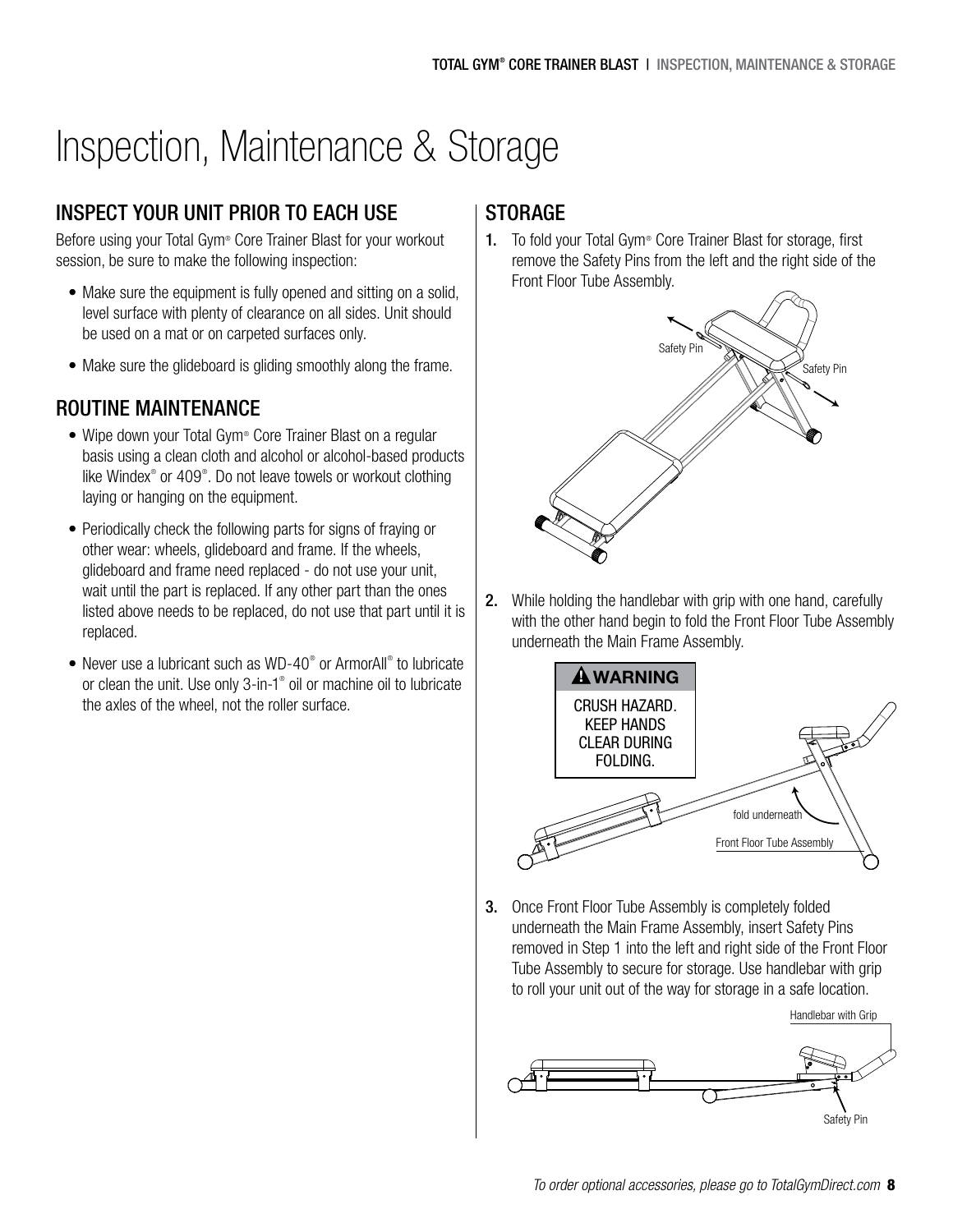### Inspection, Maintenance & Storage

### INSPECT YOUR UNIT PRIOR TO EACH USE

Before using your Total Gym® Core Trainer Blast for your workout session, be sure to make the following inspection:

- Make sure the equipment is fully opened and sitting on a solid, level surface with plenty of clearance on all sides. Unit should be used on a mat or on carpeted surfaces only.
- Make sure the glideboard is gliding smoothly along the frame.

### ROUTINE MAINTENANCE

- Wipe down your Total Gym® Core Trainer Blast on a regular basis using a clean cloth and alcohol or alcohol-based products like Windex® or 409® . Do not leave towels or workout clothing laying or hanging on the equipment.
- Periodically check the following parts for signs of fraying or other wear: wheels, glideboard and frame. If the wheels, glideboard and frame need replaced - do not use your unit, wait until the part is replaced. If any other part than the ones listed above needs to be replaced, do not use that part until it is replaced.
- Never use a lubricant such as WD-40<sup>®</sup> or ArmorAll<sup>®</sup> to lubricate or clean the unit. Use only 3-in-1® oil or machine oil to lubricate the axles of the wheel, not the roller surface.

### STORAGE

1. To fold your Total Gym<sup>®</sup> Core Trainer Blast for storage, first remove the Safety Pins from the left and the right side of the Front Floor Tube Assembly.



2. While holding the handlebar with grip with one hand, carefully with the other hand begin to fold the Front Floor Tube Assembly underneath the Main Frame Assembly.



3. Once Front Floor Tube Assembly is completely folded underneath the Main Frame Assembly, insert Safety Pins removed in Step 1 into the left and right side of the Front Floor Tube Assembly to secure for storage. Use handlebar with grip to roll your unit out of the way for storage in a safe location.

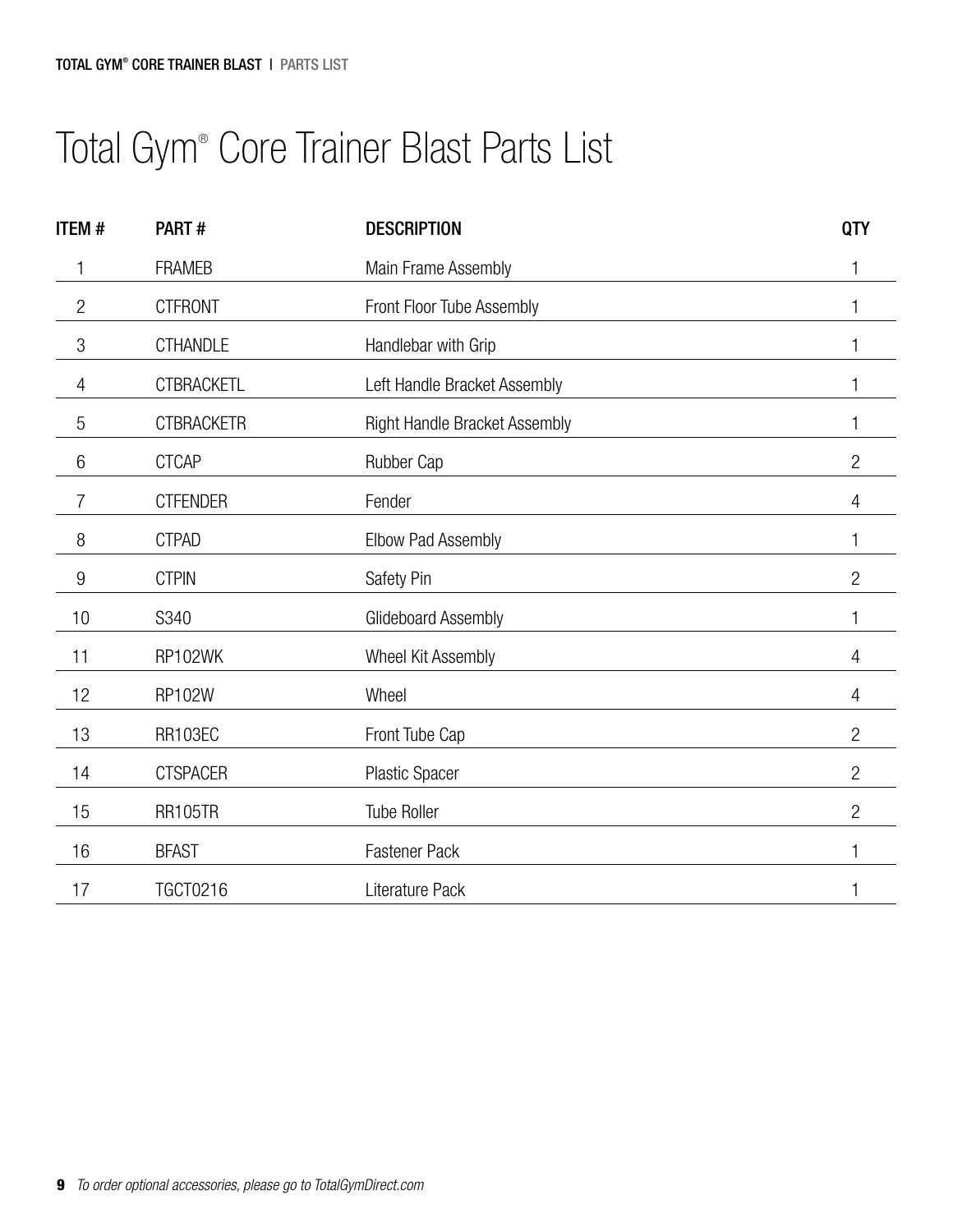# Total Gym® Core Trainer Blast Parts List

| <b>ITEM#</b>    | PART#             | <b>DESCRIPTION</b>            | <b>QTY</b>     |
|-----------------|-------------------|-------------------------------|----------------|
| 1               | <b>FRAMEB</b>     | Main Frame Assembly           | 1              |
| $\overline{2}$  | <b>CTFRONT</b>    | Front Floor Tube Assembly     | 1              |
| 3               | <b>CTHANDLE</b>   | Handlebar with Grip           | 1              |
| $\overline{4}$  | <b>CTBRACKETL</b> | Left Handle Bracket Assembly  | 1              |
| $\overline{5}$  | <b>CTBRACKETR</b> | Right Handle Bracket Assembly | 1              |
| $6\phantom{1}6$ | <b>CTCAP</b>      | Rubber Cap                    | $\overline{2}$ |
| $\overline{7}$  | <b>CTFENDER</b>   | Fender                        | 4              |
| 8               | <b>CTPAD</b>      | Elbow Pad Assembly            | 1              |
| $9\,$           | <b>CTPIN</b>      | Safety Pin                    | 2              |
| 10              | S340              | Glideboard Assembly           | 1              |
| 11              | RP102WK           | Wheel Kit Assembly            | 4              |
| 12              | <b>RP102W</b>     | Wheel                         | 4              |
| 13              | <b>RR103EC</b>    | Front Tube Cap                | $\overline{2}$ |
| 14              | <b>CTSPACER</b>   | Plastic Spacer                | $\overline{2}$ |
| 15              | <b>RR105TR</b>    | <b>Tube Roller</b>            | $\overline{2}$ |
| 16              | <b>BFAST</b>      | <b>Fastener Pack</b>          |                |
| 17              | <b>TGCT0216</b>   | Literature Pack               | 1              |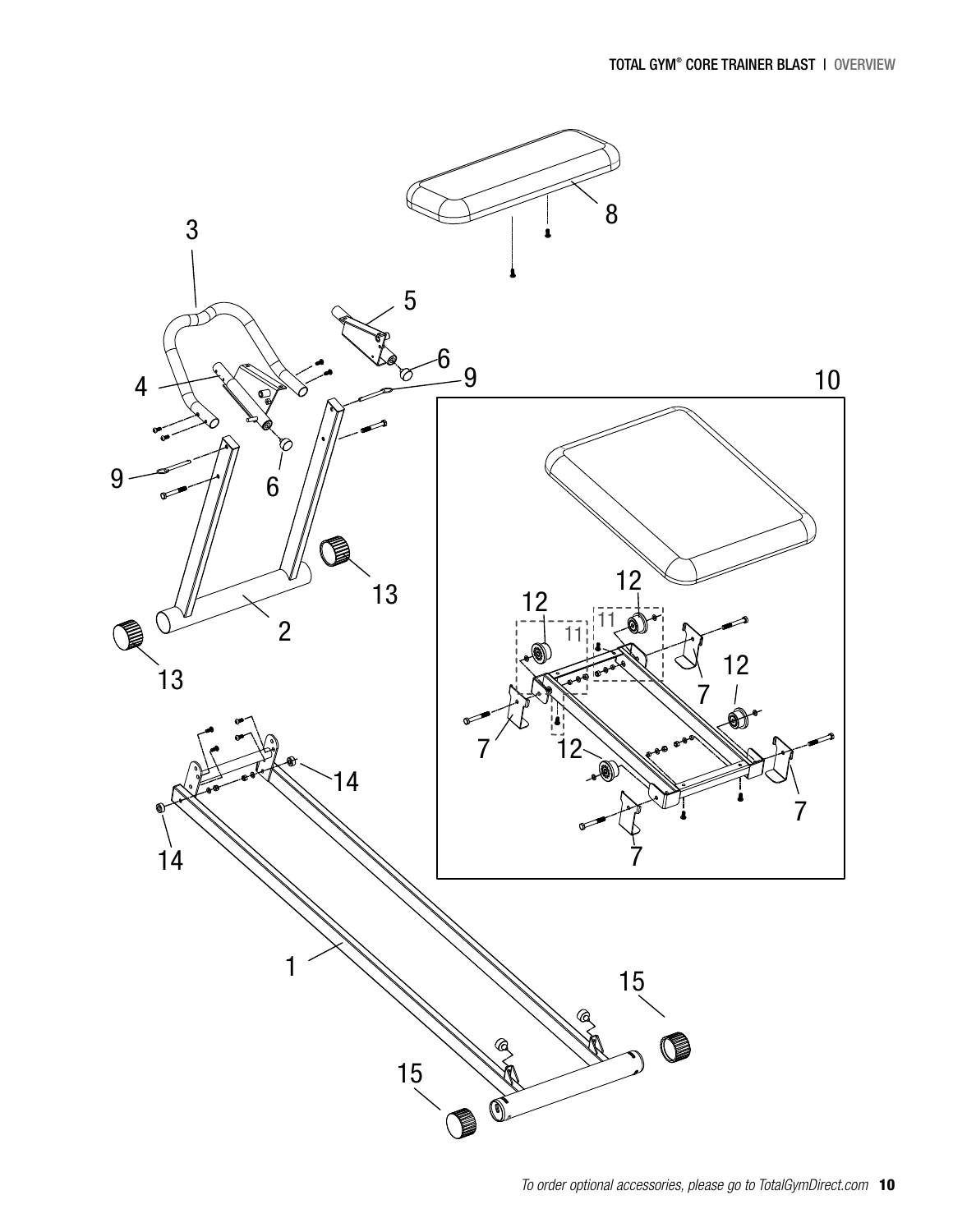